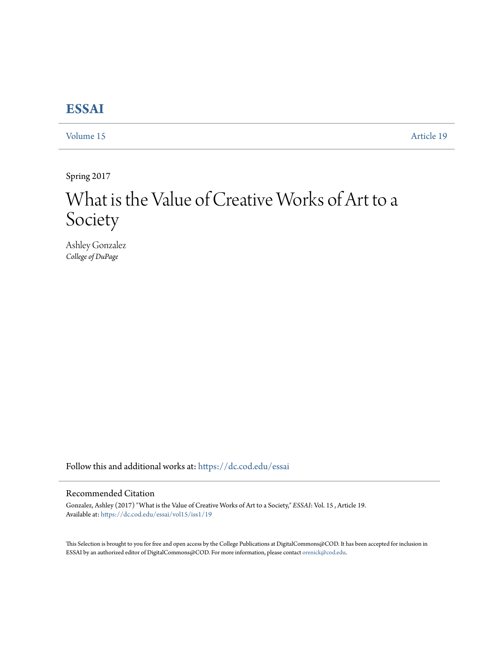## **[ESSAI](https://dc.cod.edu/essai?utm_source=dc.cod.edu%2Fessai%2Fvol15%2Fiss1%2F19&utm_medium=PDF&utm_campaign=PDFCoverPages)**

[Volume 15](https://dc.cod.edu/essai/vol15?utm_source=dc.cod.edu%2Fessai%2Fvol15%2Fiss1%2F19&utm_medium=PDF&utm_campaign=PDFCoverPages) [Article 19](https://dc.cod.edu/essai/vol15/iss1/19?utm_source=dc.cod.edu%2Fessai%2Fvol15%2Fiss1%2F19&utm_medium=PDF&utm_campaign=PDFCoverPages)

Spring 2017

## What is the Value of Creative Works of Art to a Society

Ashley Gonzalez *College of DuPage*

Follow this and additional works at: [https://dc.cod.edu/essai](https://dc.cod.edu/essai?utm_source=dc.cod.edu%2Fessai%2Fvol15%2Fiss1%2F19&utm_medium=PDF&utm_campaign=PDFCoverPages)

## Recommended Citation

Gonzalez, Ashley (2017) "What is the Value of Creative Works of Art to a Society," *ESSAI*: Vol. 15 , Article 19. Available at: [https://dc.cod.edu/essai/vol15/iss1/19](https://dc.cod.edu/essai/vol15/iss1/19?utm_source=dc.cod.edu%2Fessai%2Fvol15%2Fiss1%2F19&utm_medium=PDF&utm_campaign=PDFCoverPages)

This Selection is brought to you for free and open access by the College Publications at DigitalCommons@COD. It has been accepted for inclusion in ESSAI by an authorized editor of DigitalCommons@COD. For more information, please contact [orenick@cod.edu](mailto:orenick@cod.edu).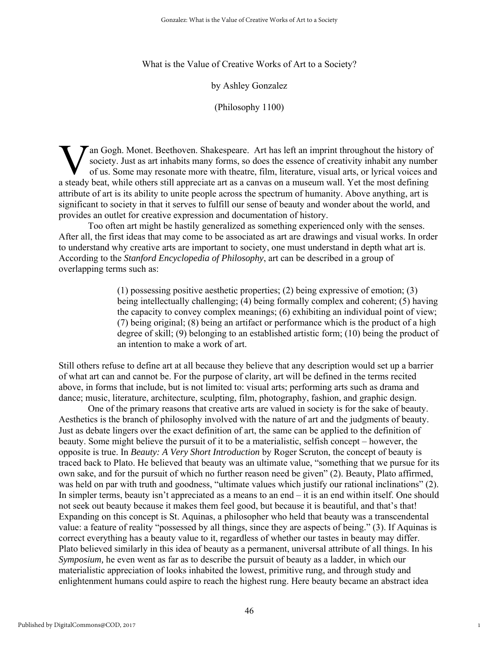What is the Value of Creative Works of Art to a Society?

by Ashley Gonzalez

(Philosophy 1100)

an Gogh. Monet. Beethoven. Shakespeare. Art has left an imprint throughout the history of society. Just as art inhabits many forms, so does the essence of creativity inhabit any number of us. Some may resonate more with theatre, film, literature, visual arts, or lyrical voices and **A** society. Just as art inhabits many forms, so does the essence of creativity inhabit any numb of us. Some may resonate more with theatre, film, literature, visual arts, or lyrical voices are a steady beat, while others attribute of art is its ability to unite people across the spectrum of humanity. Above anything, art is significant to society in that it serves to fulfill our sense of beauty and wonder about the world, and provides an outlet for creative expression and documentation of history.

 Too often art might be hastily generalized as something experienced only with the senses. After all, the first ideas that may come to be associated as art are drawings and visual works. In order to understand why creative arts are important to society, one must understand in depth what art is. According to the *Stanford Encyclopedia of Philosophy*, art can be described in a group of overlapping terms such as:

> (1) possessing positive aesthetic properties; (2) being expressive of emotion; (3) being intellectually challenging; (4) being formally complex and coherent; (5) having the capacity to convey complex meanings; (6) exhibiting an individual point of view; (7) being original; (8) being an artifact or performance which is the product of a high degree of skill; (9) belonging to an established artistic form; (10) being the product of an intention to make a work of art.

Still others refuse to define art at all because they believe that any description would set up a barrier of what art can and cannot be. For the purpose of clarity, art will be defined in the terms recited above, in forms that include, but is not limited to: visual arts; performing arts such as drama and dance; music, literature, architecture, sculpting, film, photography, fashion, and graphic design.

 One of the primary reasons that creative arts are valued in society is for the sake of beauty. Aesthetics is the branch of philosophy involved with the nature of art and the judgments of beauty. Just as debate lingers over the exact definition of art, the same can be applied to the definition of beauty. Some might believe the pursuit of it to be a materialistic, selfish concept – however, the opposite is true. In *Beauty: A Very Short Introduction* by Roger Scruton, the concept of beauty is traced back to Plato. He believed that beauty was an ultimate value, "something that we pursue for its own sake, and for the pursuit of which no further reason need be given" (2). Beauty, Plato affirmed, was held on par with truth and goodness, "ultimate values which justify our rational inclinations" (2). In simpler terms, beauty isn't appreciated as a means to an end – it is an end within itself. One should not seek out beauty because it makes them feel good, but because it is beautiful, and that's that! Expanding on this concept is St. Aquinas, a philosopher who held that beauty was a transcendental value: a feature of reality "possessed by all things, since they are aspects of being." (3). If Aquinas is correct everything has a beauty value to it, regardless of whether our tastes in beauty may differ. Plato believed similarly in this idea of beauty as a permanent, universal attribute of all things. In his *Symposium,* he even went as far as to describe the pursuit of beauty as a ladder, in which our materialistic appreciation of looks inhabited the lowest, primitive rung, and through study and enlightenment humans could aspire to reach the highest rung. Here beauty became an abstract idea

1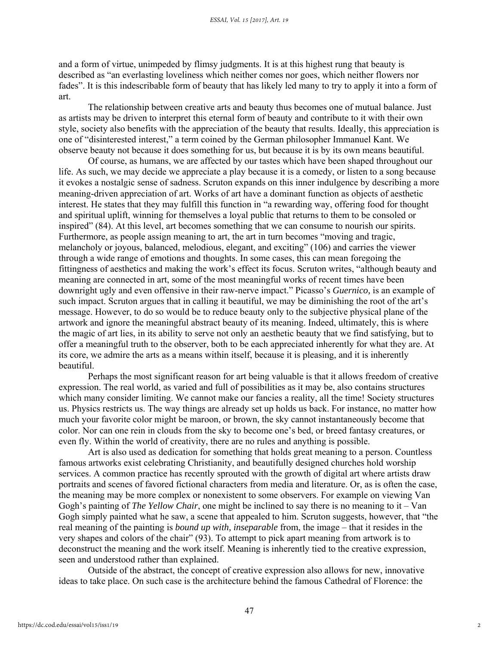and a form of virtue, unimpeded by flimsy judgments. It is at this highest rung that beauty is described as "an everlasting loveliness which neither comes nor goes, which neither flowers nor fades". It is this indescribable form of beauty that has likely led many to try to apply it into a form of art.

 The relationship between creative arts and beauty thus becomes one of mutual balance. Just as artists may be driven to interpret this eternal form of beauty and contribute to it with their own style, society also benefits with the appreciation of the beauty that results. Ideally, this appreciation is one of "disinterested interest," a term coined by the German philosopher Immanuel Kant. We observe beauty not because it does something for us, but because it is by its own means beautiful.

 Of course, as humans, we are affected by our tastes which have been shaped throughout our life. As such, we may decide we appreciate a play because it is a comedy, or listen to a song because it evokes a nostalgic sense of sadness. Scruton expands on this inner indulgence by describing a more meaning-driven appreciation of art. Works of art have a dominant function as objects of aesthetic interest. He states that they may fulfill this function in "a rewarding way, offering food for thought and spiritual uplift, winning for themselves a loyal public that returns to them to be consoled or inspired" (84). At this level, art becomes something that we can consume to nourish our spirits. Furthermore, as people assign meaning to art, the art in turn becomes "moving and tragic, melancholy or joyous, balanced, melodious, elegant, and exciting" (106) and carries the viewer through a wide range of emotions and thoughts. In some cases, this can mean foregoing the fittingness of aesthetics and making the work's effect its focus. Scruton writes, "although beauty and meaning are connected in art, some of the most meaningful works of recent times have been downright ugly and even offensive in their raw-nerve impact." Picasso's *Guernico,* is an example of such impact. Scruton argues that in calling it beautiful, we may be diminishing the root of the art's message. However, to do so would be to reduce beauty only to the subjective physical plane of the artwork and ignore the meaningful abstract beauty of its meaning. Indeed, ultimately, this is where the magic of art lies, in its ability to serve not only an aesthetic beauty that we find satisfying, but to offer a meaningful truth to the observer, both to be each appreciated inherently for what they are. At its core, we admire the arts as a means within itself, because it is pleasing, and it is inherently beautiful.

 Perhaps the most significant reason for art being valuable is that it allows freedom of creative expression. The real world, as varied and full of possibilities as it may be, also contains structures which many consider limiting. We cannot make our fancies a reality, all the time! Society structures us. Physics restricts us. The way things are already set up holds us back. For instance, no matter how much your favorite color might be maroon, or brown, the sky cannot instantaneously become that color. Nor can one rein in clouds from the sky to become one's bed, or breed fantasy creatures, or even fly. Within the world of creativity, there are no rules and anything is possible.

 Art is also used as dedication for something that holds great meaning to a person. Countless famous artworks exist celebrating Christianity, and beautifully designed churches hold worship services. A common practice has recently sprouted with the growth of digital art where artists draw portraits and scenes of favored fictional characters from media and literature. Or, as is often the case, the meaning may be more complex or nonexistent to some observers. For example on viewing Van Gogh's painting of *The Yellow Chair*, one might be inclined to say there is no meaning to it – Van Gogh simply painted what he saw, a scene that appealed to him. Scruton suggests, however, that "the real meaning of the painting is *bound up with, inseparable* from, the image – that it resides in the very shapes and colors of the chair" (93). To attempt to pick apart meaning from artwork is to deconstruct the meaning and the work itself. Meaning is inherently tied to the creative expression, seen and understood rather than explained.

 Outside of the abstract, the concept of creative expression also allows for new, innovative ideas to take place. On such case is the architecture behind the famous Cathedral of Florence: the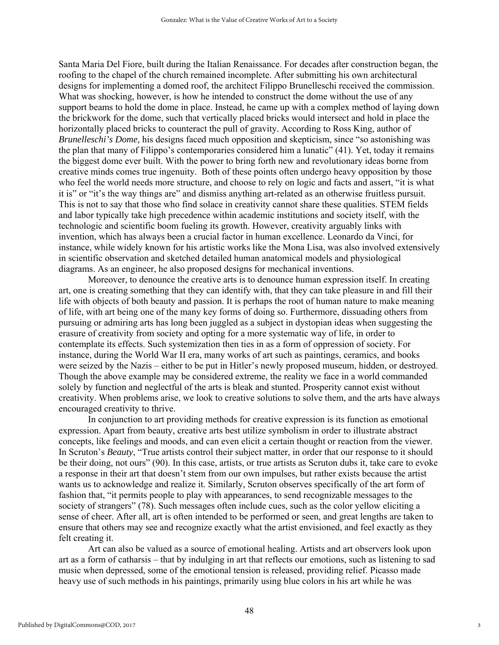Santa Maria Del Fiore, built during the Italian Renaissance. For decades after construction began, the roofing to the chapel of the church remained incomplete. After submitting his own architectural designs for implementing a domed roof, the architect Filippo Brunelleschi received the commission. What was shocking, however, is how he intended to construct the dome without the use of any support beams to hold the dome in place. Instead, he came up with a complex method of laying down the brickwork for the dome, such that vertically placed bricks would intersect and hold in place the horizontally placed bricks to counteract the pull of gravity. According to Ross King, author of *Brunelleschi's Dome,* his designs faced much opposition and skepticism, since "so astonishing was the plan that many of Filippo's contemporaries considered him a lunatic" (41). Yet, today it remains the biggest dome ever built. With the power to bring forth new and revolutionary ideas borne from creative minds comes true ingenuity. Both of these points often undergo heavy opposition by those who feel the world needs more structure, and choose to rely on logic and facts and assert, "it is what it is" or "it's the way things are" and dismiss anything art-related as an otherwise fruitless pursuit. This is not to say that those who find solace in creativity cannot share these qualities. STEM fields and labor typically take high precedence within academic institutions and society itself, with the technologic and scientific boom fueling its growth. However, creativity arguably links with invention, which has always been a crucial factor in human excellence. Leonardo da Vinci, for instance, while widely known for his artistic works like the Mona Lisa, was also involved extensively in scientific observation and sketched detailed human anatomical models and physiological diagrams. As an engineer, he also proposed designs for mechanical inventions.

 Moreover, to denounce the creative arts is to denounce human expression itself. In creating art, one is creating something that they can identify with, that they can take pleasure in and fill their life with objects of both beauty and passion. It is perhaps the root of human nature to make meaning of life, with art being one of the many key forms of doing so. Furthermore, dissuading others from pursuing or admiring arts has long been juggled as a subject in dystopian ideas when suggesting the erasure of creativity from society and opting for a more systematic way of life, in order to contemplate its effects. Such systemization then ties in as a form of oppression of society. For instance, during the World War II era, many works of art such as paintings, ceramics, and books were seized by the Nazis – either to be put in Hitler's newly proposed museum, hidden, or destroyed. Though the above example may be considered extreme, the reality we face in a world commanded solely by function and neglectful of the arts is bleak and stunted. Prosperity cannot exist without creativity. When problems arise, we look to creative solutions to solve them, and the arts have always encouraged creativity to thrive.

 In conjunction to art providing methods for creative expression is its function as emotional expression. Apart from beauty, creative arts best utilize symbolism in order to illustrate abstract concepts, like feelings and moods, and can even elicit a certain thought or reaction from the viewer. In Scruton's *Beauty*, "True artists control their subject matter, in order that our response to it should be their doing, not ours" (90). In this case, artists, or true artists as Scruton dubs it, take care to evoke a response in their art that doesn't stem from our own impulses, but rather exists because the artist wants us to acknowledge and realize it. Similarly, Scruton observes specifically of the art form of fashion that, "it permits people to play with appearances, to send recognizable messages to the society of strangers" (78). Such messages often include cues, such as the color yellow eliciting a sense of cheer. After all, art is often intended to be performed or seen, and great lengths are taken to ensure that others may see and recognize exactly what the artist envisioned, and feel exactly as they felt creating it.

 Art can also be valued as a source of emotional healing. Artists and art observers look upon art as a form of catharsis – that by indulging in art that reflects our emotions, such as listening to sad music when depressed, some of the emotional tension is released, providing relief. Picasso made heavy use of such methods in his paintings, primarily using blue colors in his art while he was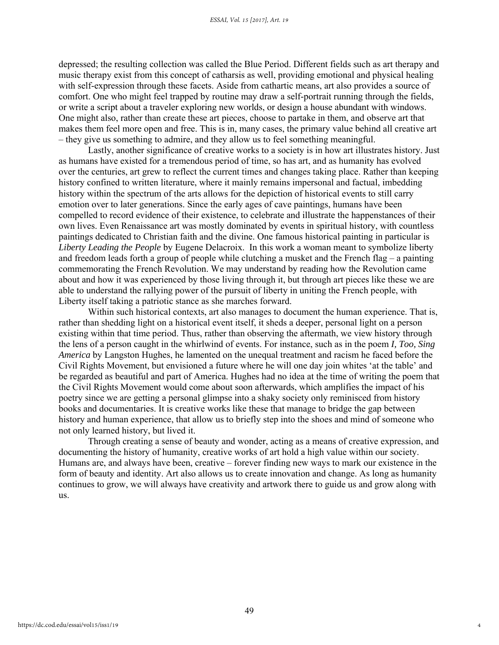depressed; the resulting collection was called the Blue Period. Different fields such as art therapy and music therapy exist from this concept of catharsis as well, providing emotional and physical healing with self-expression through these facets. Aside from cathartic means, art also provides a source of comfort. One who might feel trapped by routine may draw a self-portrait running through the fields, or write a script about a traveler exploring new worlds, or design a house abundant with windows. One might also, rather than create these art pieces, choose to partake in them, and observe art that makes them feel more open and free. This is in, many cases, the primary value behind all creative art – they give us something to admire, and they allow us to feel something meaningful.

 Lastly, another significance of creative works to a society is in how art illustrates history. Just as humans have existed for a tremendous period of time, so has art, and as humanity has evolved over the centuries, art grew to reflect the current times and changes taking place. Rather than keeping history confined to written literature, where it mainly remains impersonal and factual, imbedding history within the spectrum of the arts allows for the depiction of historical events to still carry emotion over to later generations. Since the early ages of cave paintings, humans have been compelled to record evidence of their existence, to celebrate and illustrate the happenstances of their own lives. Even Renaissance art was mostly dominated by events in spiritual history, with countless paintings dedicated to Christian faith and the divine. One famous historical painting in particular is *Liberty Leading the People* by Eugene Delacroix. In this work a woman meant to symbolize liberty and freedom leads forth a group of people while clutching a musket and the French flag – a painting commemorating the French Revolution. We may understand by reading how the Revolution came about and how it was experienced by those living through it, but through art pieces like these we are able to understand the rallying power of the pursuit of liberty in uniting the French people, with Liberty itself taking a patriotic stance as she marches forward.

 Within such historical contexts, art also manages to document the human experience. That is, rather than shedding light on a historical event itself, it sheds a deeper, personal light on a person existing within that time period. Thus, rather than observing the aftermath, we view history through the lens of a person caught in the whirlwind of events. For instance, such as in the poem *I, Too, Sing America* by Langston Hughes, he lamented on the unequal treatment and racism he faced before the Civil Rights Movement, but envisioned a future where he will one day join whites 'at the table' and be regarded as beautiful and part of America. Hughes had no idea at the time of writing the poem that the Civil Rights Movement would come about soon afterwards, which amplifies the impact of his poetry since we are getting a personal glimpse into a shaky society only reminisced from history books and documentaries. It is creative works like these that manage to bridge the gap between history and human experience, that allow us to briefly step into the shoes and mind of someone who not only learned history, but lived it.

 Through creating a sense of beauty and wonder, acting as a means of creative expression, and documenting the history of humanity, creative works of art hold a high value within our society. Humans are, and always have been, creative – forever finding new ways to mark our existence in the form of beauty and identity. Art also allows us to create innovation and change. As long as humanity continues to grow, we will always have creativity and artwork there to guide us and grow along with us.

4